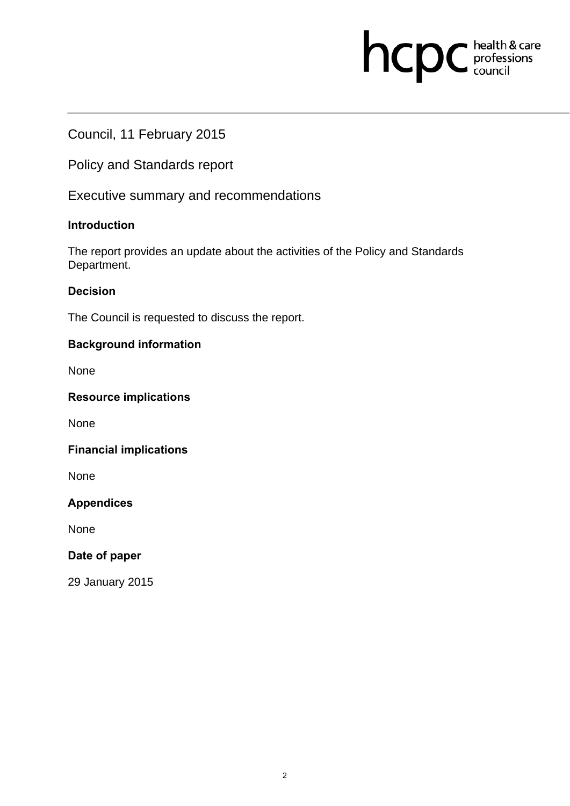# hcpc health & care

# Council, 11 February 2015

Policy and Standards report

Executive summary and recommendations

### **Introduction**

The report provides an update about the activities of the Policy and Standards Department.

# **Decision**

The Council is requested to discuss the report.

# **Background information**

None

### **Resource implications**

None

### **Financial implications**

None

# **Appendices**

None

### **Date of paper**

29 January 2015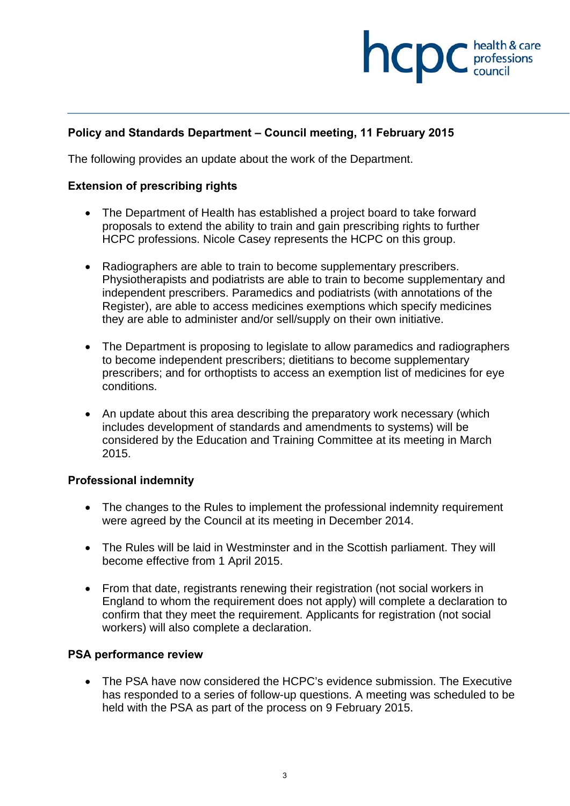# **health & care**

# **Policy and Standards Department – Council meeting, 11 February 2015**

The following provides an update about the work of the Department.

### **Extension of prescribing rights**

- The Department of Health has established a project board to take forward proposals to extend the ability to train and gain prescribing rights to further HCPC professions. Nicole Casey represents the HCPC on this group.
- Radiographers are able to train to become supplementary prescribers. Physiotherapists and podiatrists are able to train to become supplementary and independent prescribers. Paramedics and podiatrists (with annotations of the Register), are able to access medicines exemptions which specify medicines they are able to administer and/or sell/supply on their own initiative.
- The Department is proposing to legislate to allow paramedics and radiographers to become independent prescribers; dietitians to become supplementary prescribers; and for orthoptists to access an exemption list of medicines for eye conditions.
- An update about this area describing the preparatory work necessary (which includes development of standards and amendments to systems) will be considered by the Education and Training Committee at its meeting in March 2015.

### **Professional indemnity**

- The changes to the Rules to implement the professional indemnity requirement were agreed by the Council at its meeting in December 2014.
- The Rules will be laid in Westminster and in the Scottish parliament. They will become effective from 1 April 2015.
- From that date, registrants renewing their registration (not social workers in England to whom the requirement does not apply) will complete a declaration to confirm that they meet the requirement. Applicants for registration (not social workers) will also complete a declaration.

#### **PSA performance review**

 The PSA have now considered the HCPC's evidence submission. The Executive has responded to a series of follow-up questions. A meeting was scheduled to be held with the PSA as part of the process on 9 February 2015.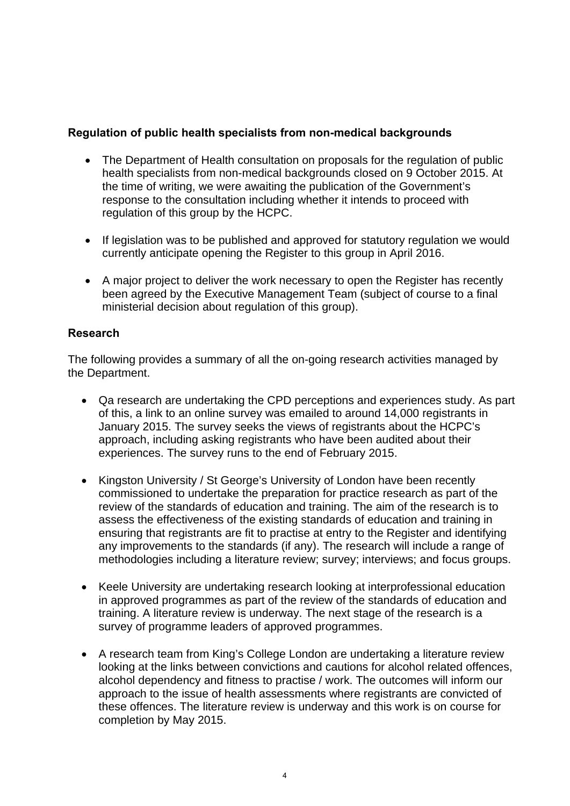# **Regulation of public health specialists from non-medical backgrounds**

- The Department of Health consultation on proposals for the regulation of public health specialists from non-medical backgrounds closed on 9 October 2015. At the time of writing, we were awaiting the publication of the Government's response to the consultation including whether it intends to proceed with regulation of this group by the HCPC.
- If legislation was to be published and approved for statutory regulation we would currently anticipate opening the Register to this group in April 2016.
- A major project to deliver the work necessary to open the Register has recently been agreed by the Executive Management Team (subject of course to a final ministerial decision about regulation of this group).

### **Research**

The following provides a summary of all the on-going research activities managed by the Department.

- Qa research are undertaking the CPD perceptions and experiences study. As part of this, a link to an online survey was emailed to around 14,000 registrants in January 2015. The survey seeks the views of registrants about the HCPC's approach, including asking registrants who have been audited about their experiences. The survey runs to the end of February 2015.
- Kingston University / St George's University of London have been recently commissioned to undertake the preparation for practice research as part of the review of the standards of education and training. The aim of the research is to assess the effectiveness of the existing standards of education and training in ensuring that registrants are fit to practise at entry to the Register and identifying any improvements to the standards (if any). The research will include a range of methodologies including a literature review; survey; interviews; and focus groups.
- Keele University are undertaking research looking at interprofessional education in approved programmes as part of the review of the standards of education and training. A literature review is underway. The next stage of the research is a survey of programme leaders of approved programmes.
- A research team from King's College London are undertaking a literature review looking at the links between convictions and cautions for alcohol related offences, alcohol dependency and fitness to practise / work. The outcomes will inform our approach to the issue of health assessments where registrants are convicted of these offences. The literature review is underway and this work is on course for completion by May 2015.